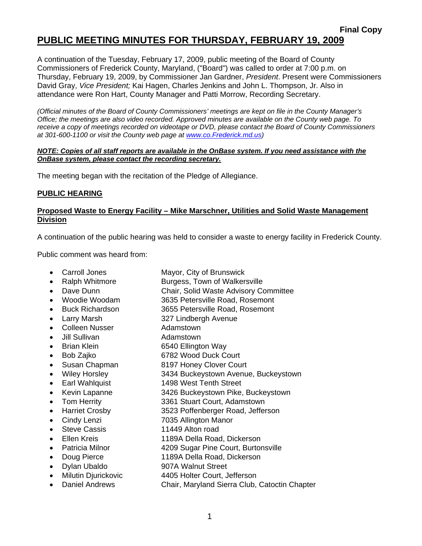# **PUBLIC MEETING MINUTES FOR THURSDAY, FEBRUARY 19, 2009**

A continuation of the Tuesday, February 17, 2009, public meeting of the Board of County Commissioners of Frederick County, Maryland, ("Board") was called to order at 7:00 p.m. on Thursday, February 19, 2009, by Commissioner Jan Gardner, *President*. Present were Commissioners David Gray, *Vice President;* Kai Hagen, Charles Jenkins and John L. Thompson, Jr. Also in attendance were Ron Hart, County Manager and Patti Morrow, Recording Secretary.

*(Official minutes of the Board of County Commissioners' meetings are kept on file in the County Manager's Office; the meetings are also video recorded. Approved minutes are available on the County web page. To receive a copy of meetings recorded on videotape or DVD, please contact the Board of County Commissioners at 301-600-1100 or visit the County web page at [www.co](http://www.co/).Frederick.md.us)* 

#### *NOTE: Copies of all staff reports are available in the OnBase system. If you need assistance with the OnBase system, please contact the recording secretary.*

The meeting began with the recitation of the Pledge of Allegiance.

#### **PUBLIC HEARING**

### **Proposed Waste to Energy Facility – Mike Marschner, Utilities and Solid Waste Management Division**

A continuation of the public hearing was held to consider a waste to energy facility in Frederick County.

Public comment was heard from:

- 
- 
- 
- 
- 
- 
- 
- 
- 
- 
- 
- 
- 
- 
- 
- 
- 
- 
- 
- 
- 
- 
- 
- 
- Carroll Jones Mayor, City of Brunswick
	- Ralph Whitmore Burgess, Town of Walkersville
	- Dave Dunn Chair, Solid Waste Advisory Committee
	- Woodie Woodam 3635 Petersville Road, Rosemont
	- Buck Richardson 3655 Petersville Road, Rosemont
	- Larry Marsh 327 Lindbergh Avenue
	- Colleen Nusser **Adamstown**
	- Jill Sullivan **Adamstown**
- Brian Klein 6540 Ellington Way
	-
	- Bob Zajko 6782 Wood Duck Court
	- Susan Chapman 8197 Honey Clover Court
- Wiley Horsley 3434 Buckeystown Avenue, Buckeystown
- Earl Wahlquist 1498 West Tenth Street
- Kevin Lapanne 3426 Buckeystown Pike, Buckeystown
- Tom Herrity 3361 Stuart Court, Adamstown
	- Harriet Crosby 3523 Poffenberger Road, Jefferson
	- Cindy Lenzi 7035 Allington Manor
	- Steve Cassis 11449 Alton road
	- Ellen Kreis 1189A Della Road, Dickerson
	- Patricia Milnor 4209 Sugar Pine Court, Burtonsville
	- Doug Pierce 1189A Della Road, Dickerson
	- Dylan Ubaldo 907A Walnut Street
		-
	- Milutin Djurickovic 4405 Holter Court, Jefferson
	- Daniel Andrews Chair, Maryland Sierra Club, Catoctin Chapter